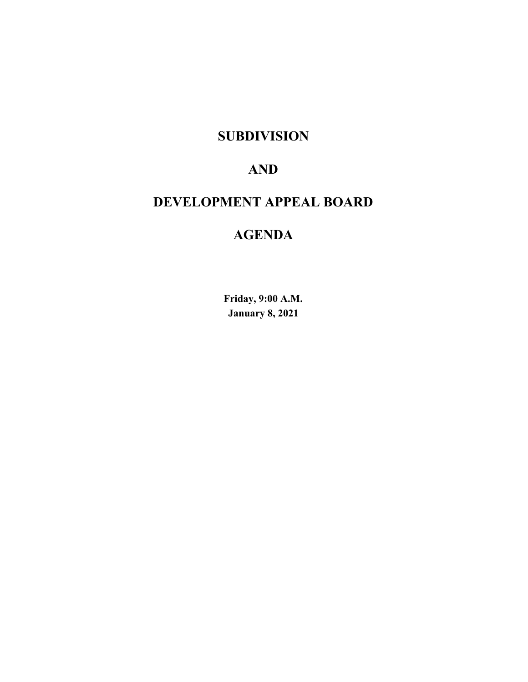# **SUBDIVISION**

# **AND**

# **DEVELOPMENT APPEAL BOARD**

# **AGENDA**

**Friday, 9:00 A.M. January 8, 2021**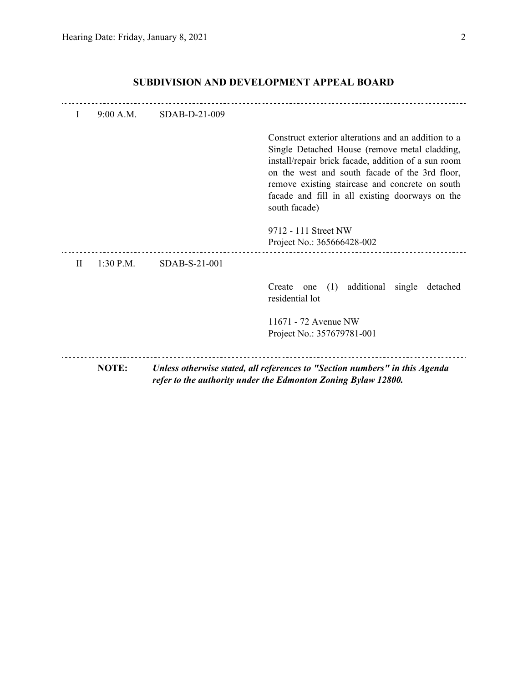| L         | 9:00 A.M.    | SDAB-D-21-009 |                                                                                                                                                                                                                                                                                                                                      |
|-----------|--------------|---------------|--------------------------------------------------------------------------------------------------------------------------------------------------------------------------------------------------------------------------------------------------------------------------------------------------------------------------------------|
|           |              |               | Construct exterior alterations and an addition to a<br>Single Detached House (remove metal cladding,<br>install/repair brick facade, addition of a sun room<br>on the west and south facade of the 3rd floor,<br>remove existing staircase and concrete on south<br>facade and fill in all existing doorways on the<br>south facade) |
|           |              |               | 9712 - 111 Street NW<br>Project No.: 365666428-002                                                                                                                                                                                                                                                                                   |
| $\rm{II}$ | $1:30$ P.M.  | SDAB-S-21-001 |                                                                                                                                                                                                                                                                                                                                      |
|           |              |               | (1)<br>additional<br>single<br>Create<br>detached<br>one<br>residential lot                                                                                                                                                                                                                                                          |
|           |              |               | 11671 - 72 Avenue NW<br>Project No.: 357679781-001                                                                                                                                                                                                                                                                                   |
|           | <b>NOTE:</b> |               | Unless otherwise stated, all references to "Section numbers" in this Agenda<br>refer to the authority under the Edmonton Zoning Bylaw 12800.                                                                                                                                                                                         |

## **SUBDIVISION AND DEVELOPMENT APPEAL BOARD**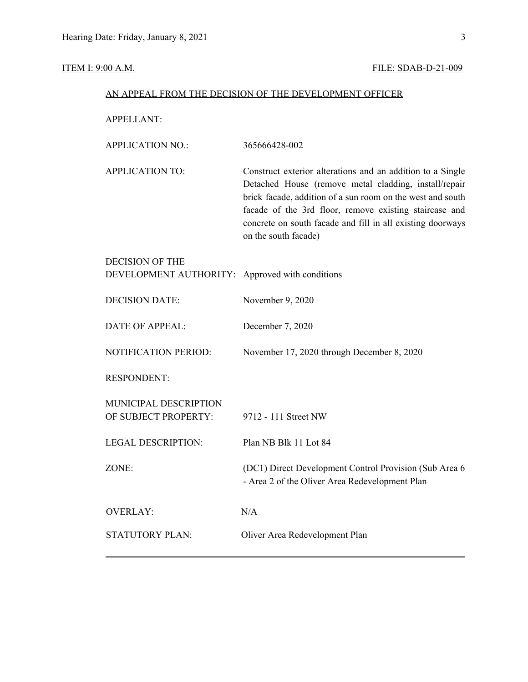#### **ITEM I: 9:00 A.M. FILE: SDAB-D-21-009**

#### AN APPEAL FROM THE DECISION OF THE DEVELOPMENT OFFICER

APPELLANT:

| APPLICATION NO.: | 365666428-002 |
|------------------|---------------|
|                  |               |

APPLICATION TO: Construct exterior alterations and an addition to a Single Detached House (remove metal cladding, install/repair brick facade, addition of a sun room on the west and south facade of the 3rd floor, remove existing staircase and concrete on south facade and fill in all existing doorways on the south facade)

| DEVELOPMENT AUTHORITY: Approved with conditions |
|-------------------------------------------------|
|                                                 |

DECISION DATE: November 9, 2020

DATE OF APPEAL: December 7, 2020

NOTIFICATION PERIOD: November 17, 2020 through December 8, 2020

RESPONDENT:

| MUNICIPAL DESCRIPTION<br>OF SUBJECT PROPERTY: | 9712 - 111 Street NW                                                                                      |
|-----------------------------------------------|-----------------------------------------------------------------------------------------------------------|
| <b>LEGAL DESCRIPTION:</b>                     | Plan NB Blk 11 Lot 84                                                                                     |
| ZONE:                                         | (DC1) Direct Development Control Provision (Sub Area 6)<br>- Area 2 of the Oliver Area Redevelopment Plan |
| OVERLAY:                                      | N/A                                                                                                       |
| <b>STATUTORY PLAN:</b>                        | Oliver Area Redevelopment Plan                                                                            |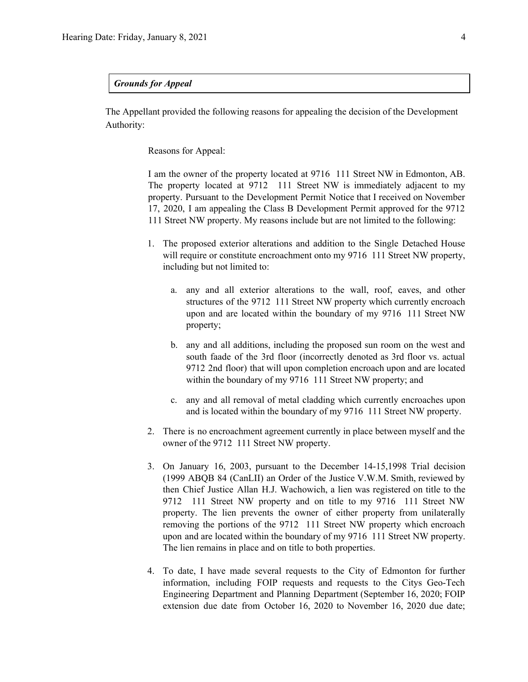#### *Grounds for Appeal*

The Appellant provided the following reasons for appealing the decision of the Development Authority:

Reasons for Appeal:

I am the owner of the property located at 9716 111 Street NW in Edmonton, AB. The property located at 9712 111 Street NW is immediately adjacent to my property. Pursuant to the Development Permit Notice that I received on November 17, 2020, I am appealing the Class B Development Permit approved for the 9712 111 Street NW property. My reasons include but are not limited to the following:

- 1. The proposed exterior alterations and addition to the Single Detached House will require or constitute encroachment onto my 9716 111 Street NW property, including but not limited to:
	- a. any and all exterior alterations to the wall, roof, eaves, and other structures of the 9712 111 Street NW property which currently encroach upon and are located within the boundary of my 9716 111 Street NW property;
	- b. any and all additions, including the proposed sun room on the west and south faade of the 3rd floor (incorrectly denoted as 3rd floor vs. actual 9712 2nd floor) that will upon completion encroach upon and are located within the boundary of my 9716 111 Street NW property; and
	- c. any and all removal of metal cladding which currently encroaches upon and is located within the boundary of my 9716 111 Street NW property.
- 2. There is no encroachment agreement currently in place between myself and the owner of the 9712 111 Street NW property.
- 3. On January 16, 2003, pursuant to the December 14-15,1998 Trial decision (1999 ABQB 84 (CanLII) an Order of the Justice V.W.M. Smith, reviewed by then Chief Justice Allan H.J. Wachowich, a lien was registered on title to the 9712 111 Street NW property and on title to my 9716 111 Street NW property. The lien prevents the owner of either property from unilaterally removing the portions of the 9712 111 Street NW property which encroach upon and are located within the boundary of my 9716 111 Street NW property. The lien remains in place and on title to both properties.
- 4. To date, I have made several requests to the City of Edmonton for further information, including FOIP requests and requests to the Citys Geo-Tech Engineering Department and Planning Department (September 16, 2020; FOIP extension due date from October 16, 2020 to November 16, 2020 due date;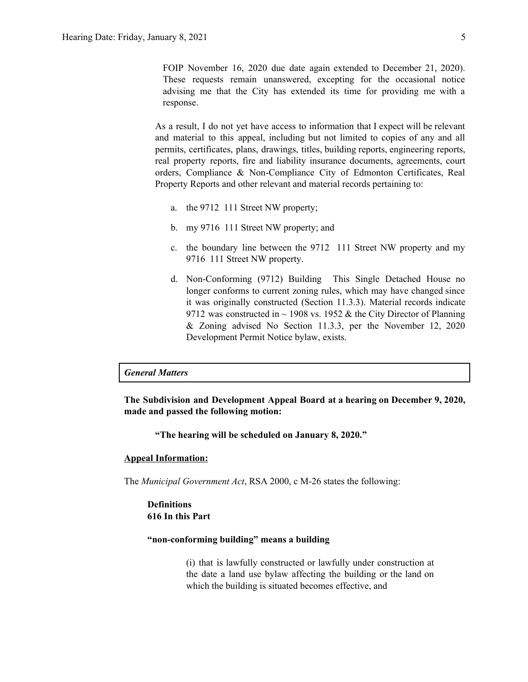FOIP November 16, 2020 due date again extended to December 21, 2020). These requests remain unanswered, excepting for the occasional notice advising me that the City has extended its time for providing me with a response.

As a result, I do not yet have access to information that I expect will be relevant and material to this appeal, including but not limited to copies of any and all permits, certificates, plans, drawings, titles, building reports, engineering reports, real property reports, fire and liability insurance documents, agreements, court orders, Compliance & Non-Compliance City of Edmonton Certificates, Real Property Reports and other relevant and material records pertaining to:

- a. the 9712 111 Street NW property;
- b. my 9716 111 Street NW property; and
- c. the boundary line between the 9712 111 Street NW property and my 9716 111 Street NW property.
- d. Non-Conforming (9712) Building This Single Detached House no longer conforms to current zoning rules, which may have changed since it was originally constructed (Section 11.3.3). Material records indicate 9712 was constructed in  $\sim$  1908 vs. 1952 & the City Director of Planning & Zoning advised No Section 11.3.3, per the November 12, 2020 Development Permit Notice bylaw, exists.

#### *General Matters*

**The Subdivision and Development Appeal Board at a hearing on December 9, 2020, made and passed the following motion:**

**"The hearing will be scheduled on January 8, 2020."**

#### **Appeal Information:**

The *Municipal Government Act*, RSA 2000, c M-26 states the following:

#### **Definitions 616 In this Part**

#### **"non-conforming building" means a building**

(i) that is lawfully constructed or lawfully under construction at the date a land use bylaw affecting the building or the land on which the building is situated becomes effective, and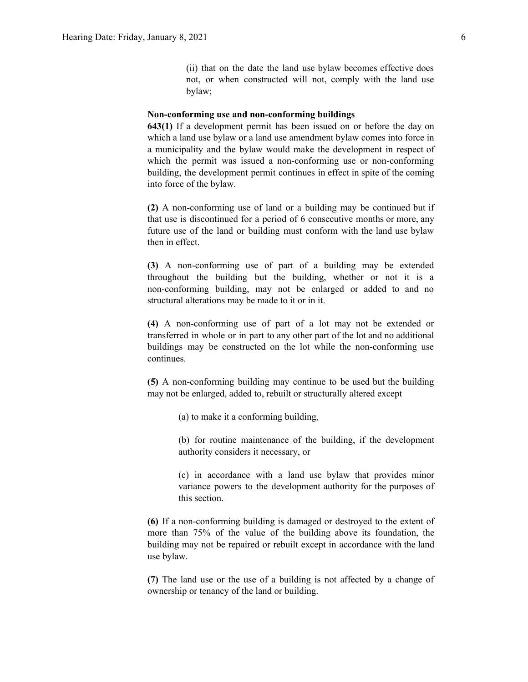(ii) that on the date the land use bylaw becomes effective does not, or when constructed will not, comply with the land use bylaw;

#### **Non-conforming use and non-conforming buildings**

**643(1)** If a development permit has been issued on or before the day on which a land use bylaw or a land use amendment bylaw comes into force in a municipality and the bylaw would make the development in respect of which the permit was issued a non-conforming use or non-conforming building, the development permit continues in effect in spite of the coming into force of the bylaw.

**(2)** A non-conforming use of land or a building may be continued but if that use is discontinued for a period of 6 consecutive months or more, any future use of the land or building must conform with the land use bylaw then in effect.

**(3)** A non-conforming use of part of a building may be extended throughout the building but the building, whether or not it is a non-conforming building, may not be enlarged or added to and no structural alterations may be made to it or in it.

**(4)** A non-conforming use of part of a lot may not be extended or transferred in whole or in part to any other part of the lot and no additional buildings may be constructed on the lot while the non-conforming use continues.

**(5)** A non-conforming building may continue to be used but the building may not be enlarged, added to, rebuilt or structurally altered except

(a) to make it a conforming building,

(b) for routine maintenance of the building, if the development authority considers it necessary, or

(c) in accordance with a land use bylaw that provides minor variance powers to the development authority for the purposes of this section.

**(6)** If a non-conforming building is damaged or destroyed to the extent of more than 75% of the value of the building above its foundation, the building may not be repaired or rebuilt except in accordance with the land use bylaw.

**(7)** The land use or the use of a building is not affected by a change of ownership or tenancy of the land or building.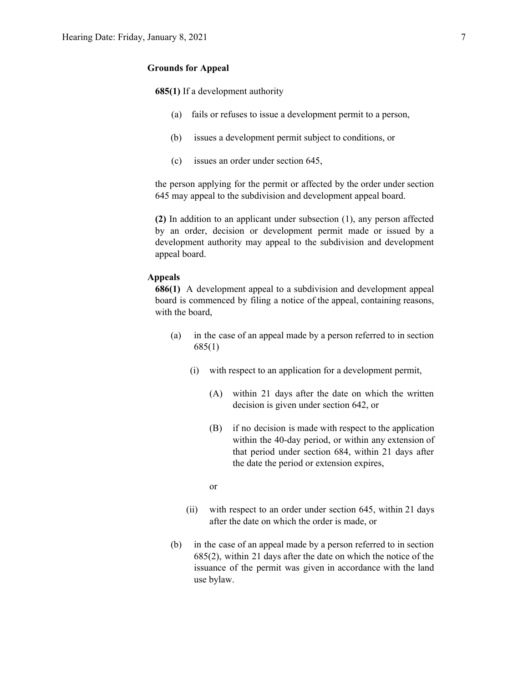#### **Grounds for Appeal**

**685(1)** If a development authority

- (a) fails or refuses to issue a development permit to a person,
- (b) issues a development permit subject to conditions, or
- (c) issues an order under section 645,

the person applying for the permit or affected by the order under section 645 may appeal to the subdivision and development appeal board.

**(2)** In addition to an applicant under subsection (1), any person affected by an order, decision or development permit made or issued by a development authority may appeal to the subdivision and development appeal board.

#### **Appeals**

**686(1)** A development appeal to a subdivision and development appeal board is commenced by filing a notice of the appeal, containing reasons, with the board,

- (a) in the case of an appeal made by a person referred to in section 685(1)
	- (i) with respect to an application for a development permit,
		- (A) within 21 days after the date on which the written decision is given under section 642, or
		- (B) if no decision is made with respect to the application within the 40-day period, or within any extension of that period under section 684, within 21 days after the date the period or extension expires,

or

- (ii) with respect to an order under section 645, within 21 days after the date on which the order is made, or
- (b) in the case of an appeal made by a person referred to in section 685(2), within 21 days after the date on which the notice of the issuance of the permit was given in accordance with the land use bylaw.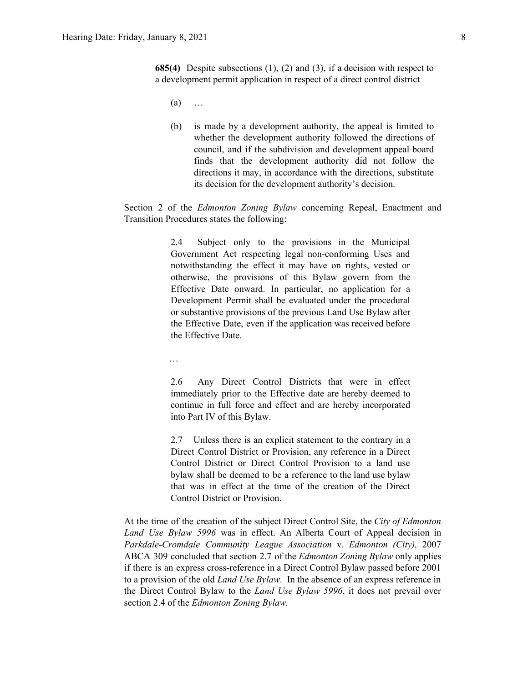**685(4)** Despite subsections (1), (2) and (3), if a decision with respect to a development permit application in respect of a direct control district

- $(a)$  …
- (b) is made by a development authority, the appeal is limited to whether the development authority followed the directions of council, and if the subdivision and development appeal board finds that the development authority did not follow the directions it may, in accordance with the directions, substitute its decision for the development authority's decision.

Section 2 of the *Edmonton Zoning Bylaw* concerning Repeal, Enactment and Transition Procedures states the following:

> 2.4 Subject only to the provisions in the Municipal Government Act respecting legal non-conforming Uses and notwithstanding the effect it may have on rights, vested or otherwise, the provisions of this Bylaw govern from the Effective Date onward. In particular, no application for a Development Permit shall be evaluated under the procedural or substantive provisions of the previous Land Use Bylaw after the Effective Date, even if the application was received before the Effective Date.

…

2.6 Any Direct Control Districts that were in effect immediately prior to the Effective date are hereby deemed to continue in full force and effect and are hereby incorporated into Part IV of this Bylaw.

2.7 Unless there is an explicit statement to the contrary in a Direct Control District or Provision, any reference in a Direct Control District or Direct Control Provision to a land use bylaw shall be deemed to be a reference to the land use bylaw that was in effect at the time of the creation of the Direct Control District or Provision.

At the time of the creation of the subject Direct Control Site, the *City of Edmonton Land Use Bylaw 5996* was in effect. An Alberta Court of Appeal decision in *Parkdale-Cromdale Community League Association* v. *Edmonton (City),* 2007 ABCA 309 concluded that section 2.7 of the *Edmonton Zoning Bylaw* only applies if there is an express cross-reference in a Direct Control Bylaw passed before 2001 to a provision of the old *Land Use Bylaw*. In the absence of an express reference in the Direct Control Bylaw to the *Land Use Bylaw 5996*, it does not prevail over section 2.4 of the *Edmonton Zoning Bylaw.*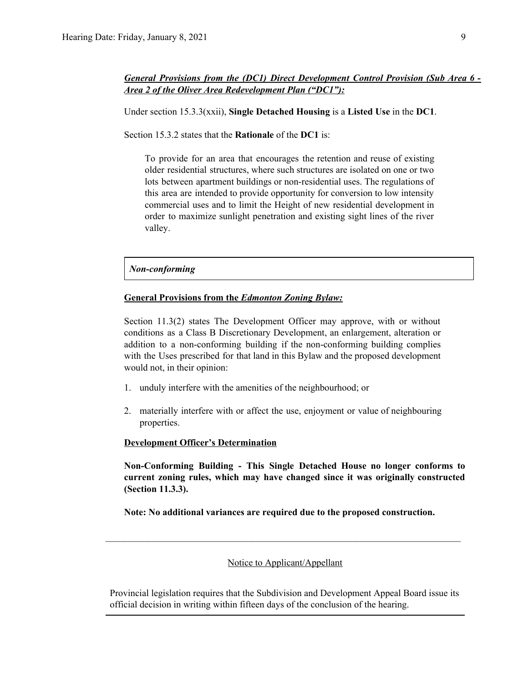Under section 15.3.3(xxii), **Single Detached Housing** is a **Listed Use** in the **DC1**.

Section 15.3.2 states that the **Rationale** of the **DC1** is:

To provide for an area that encourages the retention and reuse of existing older residential structures, where such structures are isolated on one or two lots between apartment buildings or non-residential uses. The regulations of this area are intended to provide opportunity for conversion to low intensity commercial uses and to limit the Height of new residential development in order to maximize sunlight penetration and existing sight lines of the river valley.

#### *Non-conforming*

#### **General Provisions from the** *Edmonton Zoning Bylaw:*

Section 11.3(2) states The Development Officer may approve, with or without conditions as a Class B Discretionary Development, an enlargement, alteration or addition to a non-conforming building if the non-conforming building complies with the Uses prescribed for that land in this Bylaw and the proposed development would not, in their opinion:

- 1. unduly interfere with the amenities of the neighbourhood; or
- 2. materially interfere with or affect the use, enjoyment or value of neighbouring properties.

#### **Development Officer's Determination**

**Non-Conforming Building - This Single Detached House no longer conforms to current zoning rules, which may have changed since it was originally constructed (Section 11.3.3).**

**Note: No additional variances are required due to the proposed construction.**

#### Notice to Applicant/Appellant

 $\mathcal{L}_\text{max} = \frac{1}{2} \sum_{i=1}^n \mathcal{L}_\text{max} = \frac{1}{2} \sum_{i=1}^n \mathcal{L}_\text{max} = \frac{1}{2} \sum_{i=1}^n \mathcal{L}_\text{max} = \frac{1}{2} \sum_{i=1}^n \mathcal{L}_\text{max} = \frac{1}{2} \sum_{i=1}^n \mathcal{L}_\text{max} = \frac{1}{2} \sum_{i=1}^n \mathcal{L}_\text{max} = \frac{1}{2} \sum_{i=1}^n \mathcal{L}_\text{max} = \frac{1}{2} \sum_{i=$ 

Provincial legislation requires that the Subdivision and Development Appeal Board issue its official decision in writing within fifteen days of the conclusion of the hearing.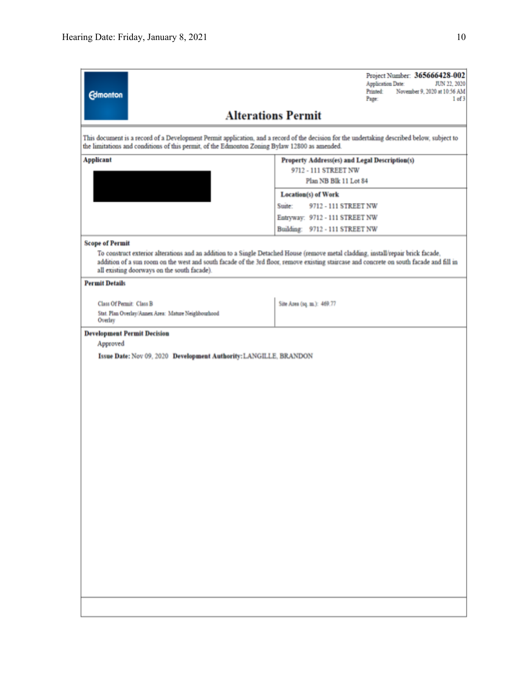| <b>Edmonton</b>                                                                                                                                                                                                                              | Project Number: 365666428-002<br><b>Application Date:</b><br>JUN 22, 2020<br>November 9, 2020 at 10:56 AM<br>Printed<br>Page<br>1 of 3                                                                                                                                        |  |  |  |  |  |  |  |
|----------------------------------------------------------------------------------------------------------------------------------------------------------------------------------------------------------------------------------------------|-------------------------------------------------------------------------------------------------------------------------------------------------------------------------------------------------------------------------------------------------------------------------------|--|--|--|--|--|--|--|
| <b>Alterations Permit</b>                                                                                                                                                                                                                    |                                                                                                                                                                                                                                                                               |  |  |  |  |  |  |  |
| This document is a record of a Development Permit application, and a record of the decision for the undertaking described below, subject to<br>the limitations and conditions of this permit, of the Edmonton Zoning Bylaw 12800 as amended. |                                                                                                                                                                                                                                                                               |  |  |  |  |  |  |  |
| <b>Applicant</b>                                                                                                                                                                                                                             | Property Address(es) and Legal Description(s)<br>9712 - 111 STREET NW                                                                                                                                                                                                         |  |  |  |  |  |  |  |
|                                                                                                                                                                                                                                              | Plan NB Blk 11 Lot 84                                                                                                                                                                                                                                                         |  |  |  |  |  |  |  |
|                                                                                                                                                                                                                                              | <b>Location(s) of Work</b>                                                                                                                                                                                                                                                    |  |  |  |  |  |  |  |
|                                                                                                                                                                                                                                              | Suite:<br>9712 - 111 STREET NW                                                                                                                                                                                                                                                |  |  |  |  |  |  |  |
|                                                                                                                                                                                                                                              | Entryway: 9712 - 111 STREET NW                                                                                                                                                                                                                                                |  |  |  |  |  |  |  |
|                                                                                                                                                                                                                                              | Building: 9712 - 111 STREET NW                                                                                                                                                                                                                                                |  |  |  |  |  |  |  |
| <b>Scope of Permit</b>                                                                                                                                                                                                                       |                                                                                                                                                                                                                                                                               |  |  |  |  |  |  |  |
| all existing doorways on the south facade).                                                                                                                                                                                                  | To construct exterior alterations and an addition to a Single Detached House (remove metal cladding, install/repair brick facade,<br>addition of a sun room on the west and south facade of the 3rd floor, remove existing staircase and concrete on south facade and fill in |  |  |  |  |  |  |  |
| <b>Permit Details</b>                                                                                                                                                                                                                        |                                                                                                                                                                                                                                                                               |  |  |  |  |  |  |  |
| <b>Class Of Permit: Class B</b>                                                                                                                                                                                                              | Site Area (sq. m.): 469.77                                                                                                                                                                                                                                                    |  |  |  |  |  |  |  |
| Stat. Plan Overlay/Annex Area: Mature Neighbourhood<br>Overlay                                                                                                                                                                               |                                                                                                                                                                                                                                                                               |  |  |  |  |  |  |  |
| <b>Development Permit Decision</b>                                                                                                                                                                                                           |                                                                                                                                                                                                                                                                               |  |  |  |  |  |  |  |
| Approved                                                                                                                                                                                                                                     |                                                                                                                                                                                                                                                                               |  |  |  |  |  |  |  |
| Issue Date: Nov 09, 2020 Development Authority: LANGILLE, BRANDON                                                                                                                                                                            |                                                                                                                                                                                                                                                                               |  |  |  |  |  |  |  |
|                                                                                                                                                                                                                                              |                                                                                                                                                                                                                                                                               |  |  |  |  |  |  |  |
|                                                                                                                                                                                                                                              |                                                                                                                                                                                                                                                                               |  |  |  |  |  |  |  |
|                                                                                                                                                                                                                                              |                                                                                                                                                                                                                                                                               |  |  |  |  |  |  |  |
|                                                                                                                                                                                                                                              |                                                                                                                                                                                                                                                                               |  |  |  |  |  |  |  |
|                                                                                                                                                                                                                                              |                                                                                                                                                                                                                                                                               |  |  |  |  |  |  |  |
|                                                                                                                                                                                                                                              |                                                                                                                                                                                                                                                                               |  |  |  |  |  |  |  |
|                                                                                                                                                                                                                                              |                                                                                                                                                                                                                                                                               |  |  |  |  |  |  |  |
|                                                                                                                                                                                                                                              |                                                                                                                                                                                                                                                                               |  |  |  |  |  |  |  |
|                                                                                                                                                                                                                                              |                                                                                                                                                                                                                                                                               |  |  |  |  |  |  |  |
|                                                                                                                                                                                                                                              |                                                                                                                                                                                                                                                                               |  |  |  |  |  |  |  |
|                                                                                                                                                                                                                                              |                                                                                                                                                                                                                                                                               |  |  |  |  |  |  |  |
|                                                                                                                                                                                                                                              |                                                                                                                                                                                                                                                                               |  |  |  |  |  |  |  |
|                                                                                                                                                                                                                                              |                                                                                                                                                                                                                                                                               |  |  |  |  |  |  |  |
|                                                                                                                                                                                                                                              |                                                                                                                                                                                                                                                                               |  |  |  |  |  |  |  |
|                                                                                                                                                                                                                                              |                                                                                                                                                                                                                                                                               |  |  |  |  |  |  |  |
|                                                                                                                                                                                                                                              |                                                                                                                                                                                                                                                                               |  |  |  |  |  |  |  |
|                                                                                                                                                                                                                                              |                                                                                                                                                                                                                                                                               |  |  |  |  |  |  |  |
|                                                                                                                                                                                                                                              |                                                                                                                                                                                                                                                                               |  |  |  |  |  |  |  |
|                                                                                                                                                                                                                                              |                                                                                                                                                                                                                                                                               |  |  |  |  |  |  |  |
|                                                                                                                                                                                                                                              |                                                                                                                                                                                                                                                                               |  |  |  |  |  |  |  |
|                                                                                                                                                                                                                                              |                                                                                                                                                                                                                                                                               |  |  |  |  |  |  |  |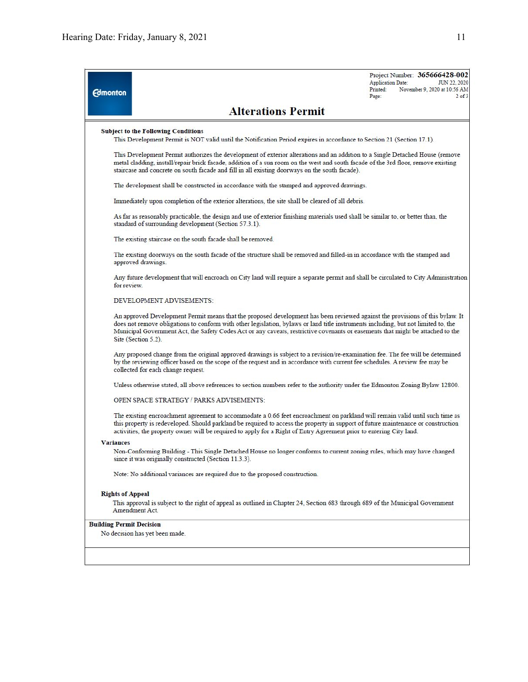| <b>Edmonton</b>                 | Printed:<br>Page:                                                                                                                                                                                                                                                                                                                                                                                                                | Project Number: 365666428-002<br>JUN 22, 2020<br><b>Application Date:</b><br>November 9, 2020 at 10:56 AM<br>$2$ of $3$ |
|---------------------------------|----------------------------------------------------------------------------------------------------------------------------------------------------------------------------------------------------------------------------------------------------------------------------------------------------------------------------------------------------------------------------------------------------------------------------------|-------------------------------------------------------------------------------------------------------------------------|
|                                 | <b>Alterations Permit</b>                                                                                                                                                                                                                                                                                                                                                                                                        |                                                                                                                         |
|                                 | <b>Subject to the Following Conditions</b><br>This Development Permit is NOT valid until the Notification Period expires in accordance to Section 21 (Section 17.1).                                                                                                                                                                                                                                                             |                                                                                                                         |
|                                 | This Development Permit authorizes the development of exterior alterations and an addition to a Single Detached House (remove<br>metal cladding, install/repair brick facade, addition of a sun room on the west and south facade of the 3rd floor, remove existing<br>staircase and concrete on south facade and fill in all existing doorways on the south facade).                                                            |                                                                                                                         |
|                                 | The development shall be constructed in accordance with the stamped and approved drawings.                                                                                                                                                                                                                                                                                                                                       |                                                                                                                         |
|                                 | Immediately upon completion of the exterior alterations, the site shall be cleared of all debris.                                                                                                                                                                                                                                                                                                                                |                                                                                                                         |
|                                 | As far as reasonably practicable, the design and use of exterior finishing materials used shall be similar to, or better than, the<br>standard of surrounding development (Section 57.3.1).                                                                                                                                                                                                                                      |                                                                                                                         |
|                                 | The existing staircase on the south facade shall be removed.                                                                                                                                                                                                                                                                                                                                                                     |                                                                                                                         |
|                                 | The existing doorways on the south facade of the structure shall be removed and filled-in in accordance with the stamped and<br>approved drawings.                                                                                                                                                                                                                                                                               |                                                                                                                         |
| for review.                     | Any future development that will encroach on City land will require a separate permit and shall be circulated to City Administration                                                                                                                                                                                                                                                                                             |                                                                                                                         |
|                                 | DEVELOPMENT ADVISEMENTS:                                                                                                                                                                                                                                                                                                                                                                                                         |                                                                                                                         |
|                                 | An approved Development Permit means that the proposed development has been reviewed against the provisions of this bylaw. It<br>does not remove obligations to conform with other legislation, bylaws or land title instruments including, but not limited to, the<br>Municipal Government Act, the Safety Codes Act or any caveats, restrictive covenants or easements that might be attached to the<br>Site (Section $5.2$ ). |                                                                                                                         |
|                                 | Any proposed change from the original approved drawings is subject to a revision/re-examination fee. The fee will be determined<br>by the reviewing officer based on the scope of the request and in accordance with current fee schedules. A review fee may be<br>collected for each change request.                                                                                                                            |                                                                                                                         |
|                                 | Unless otherwise stated, all above references to section numbers refer to the authority under the Edmonton Zoning Bylaw 12800.                                                                                                                                                                                                                                                                                                   |                                                                                                                         |
|                                 | OPEN SPACE STRATEGY / PARKS ADVISEMENTS:                                                                                                                                                                                                                                                                                                                                                                                         |                                                                                                                         |
|                                 | The existing encroachment agreement to accommodate a 0.66 feet encroachment on parkland will remain valid until such time as<br>this property is redeveloped. Should parkland be required to access the property in support of future maintenance or construction<br>activities, the property owner will be required to apply for a Right of Entry Agreement prior to entering City land.                                        |                                                                                                                         |
| <b>Variances</b>                |                                                                                                                                                                                                                                                                                                                                                                                                                                  |                                                                                                                         |
|                                 | Non-Conforming Building - This Single Detached House no longer conforms to current zoning rules, which may have changed<br>since it was originally constructed (Section 11.3.3).                                                                                                                                                                                                                                                 |                                                                                                                         |
|                                 | Note: No additional variances are required due to the proposed construction.                                                                                                                                                                                                                                                                                                                                                     |                                                                                                                         |
| <b>Rights of Appeal</b>         |                                                                                                                                                                                                                                                                                                                                                                                                                                  |                                                                                                                         |
|                                 | This approval is subject to the right of appeal as outlined in Chapter 24, Section 683 through 689 of the Municipal Government<br>Amendment Act.                                                                                                                                                                                                                                                                                 |                                                                                                                         |
| <b>Building Permit Decision</b> |                                                                                                                                                                                                                                                                                                                                                                                                                                  |                                                                                                                         |
|                                 | No decision has yet been made.                                                                                                                                                                                                                                                                                                                                                                                                   |                                                                                                                         |
|                                 |                                                                                                                                                                                                                                                                                                                                                                                                                                  |                                                                                                                         |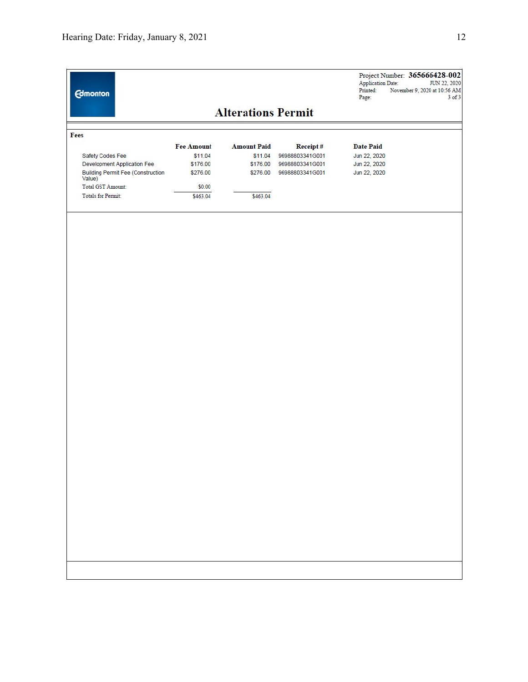| <b>Alterations Permit</b><br>Fees<br><b>Fee Amount</b><br><b>Amount Paid</b><br>Receipt#<br><b>Date Paid</b><br>\$11.04<br>96988803341G001<br>Safety Codes Fee<br>\$11.04<br>\$176.00<br>Jun 22, 2020<br>Development Application Fee<br>\$176.00<br>96988803341G001<br><b>Building Permit Fee (Construction</b><br>\$276.00<br>\$276.00<br>96988803341G001<br>Jun 22, 2020<br>Value)<br>Total GST Amount:<br>\$0.00<br><b>Totals for Permit:</b><br>\$463.04<br>\$463.04 |              |
|--------------------------------------------------------------------------------------------------------------------------------------------------------------------------------------------------------------------------------------------------------------------------------------------------------------------------------------------------------------------------------------------------------------------------------------------------------------------------|--------------|
|                                                                                                                                                                                                                                                                                                                                                                                                                                                                          |              |
|                                                                                                                                                                                                                                                                                                                                                                                                                                                                          |              |
|                                                                                                                                                                                                                                                                                                                                                                                                                                                                          |              |
|                                                                                                                                                                                                                                                                                                                                                                                                                                                                          | Jun 22, 2020 |
|                                                                                                                                                                                                                                                                                                                                                                                                                                                                          |              |
|                                                                                                                                                                                                                                                                                                                                                                                                                                                                          |              |
|                                                                                                                                                                                                                                                                                                                                                                                                                                                                          |              |
|                                                                                                                                                                                                                                                                                                                                                                                                                                                                          |              |
|                                                                                                                                                                                                                                                                                                                                                                                                                                                                          |              |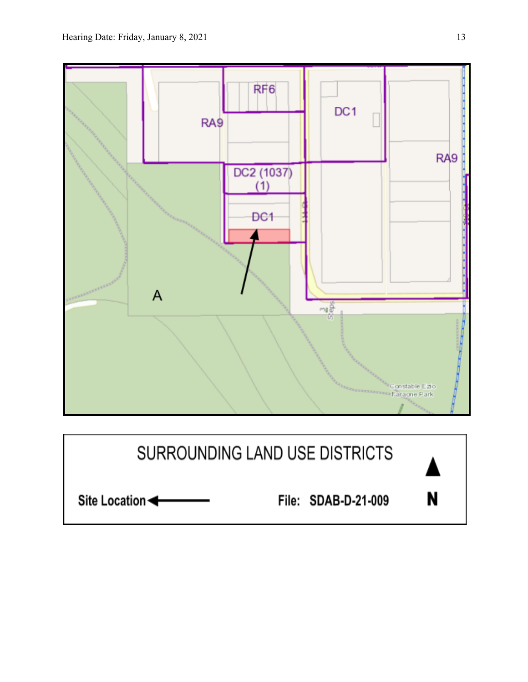

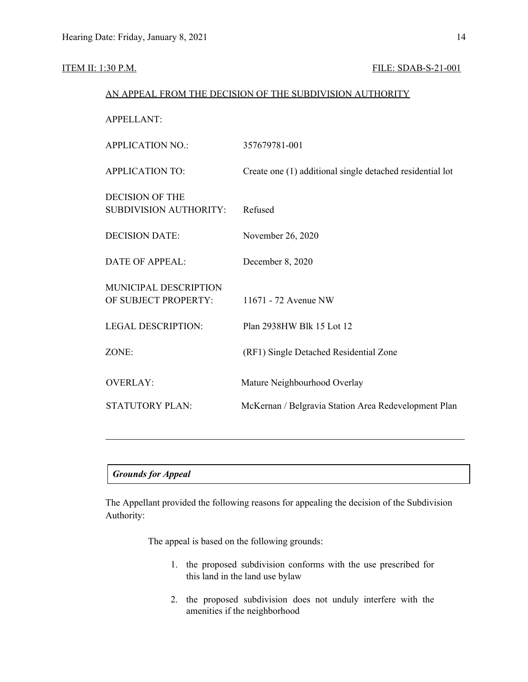#### **ITEM II: 1:30 P.M. FILE: SDAB-S-21-001**

# AN APPEAL FROM THE DECISION OF THE SUBDIVISION AUTHORITY APPELLANT: APPLICATION NO.: 357679781-001 APPLICATION TO: Create one (1) additional single detached residential lot DECISION OF THE SUBDIVISION AUTHORITY: Refused DECISION DATE: November 26, 2020 DATE OF APPEAL: December 8, 2020 MUNICIPAL DESCRIPTION OF SUBJECT PROPERTY: 11671 - 72 Avenue NW LEGAL DESCRIPTION: Plan 2938HW Blk 15 Lot 12 ZONE: (RF1) Single Detached Residential Zone OVERLAY: Mature Neighbourhood Overlay STATUTORY PLAN: McKernan / Belgravia Station Area Redevelopment Plan

### *Grounds for Appeal*

The Appellant provided the following reasons for appealing the decision of the Subdivision Authority:

The appeal is based on the following grounds:

- 1. the proposed subdivision conforms with the use prescribed for this land in the land use bylaw
- 2. the proposed subdivision does not unduly interfere with the amenities if the neighborhood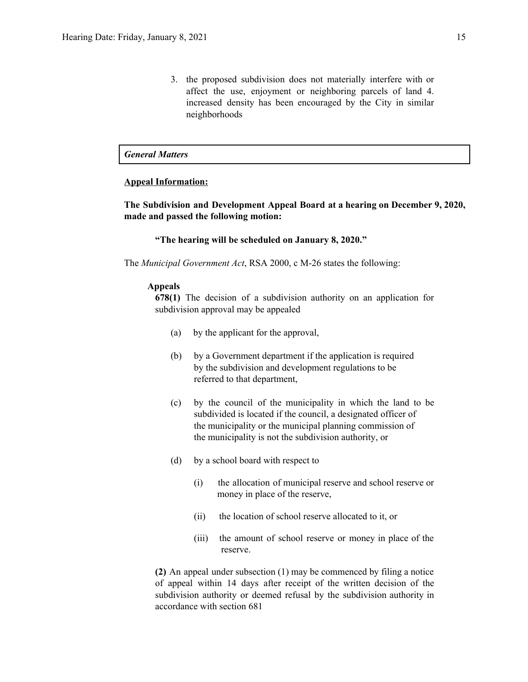3. the proposed subdivision does not materially interfere with or affect the use, enjoyment or neighboring parcels of land 4. increased density has been encouraged by the City in similar neighborhoods

#### *General Matters*

#### **Appeal Information:**

**The Subdivision and Development Appeal Board at a hearing on December 9, 2020, made and passed the following motion:**

**"The hearing will be scheduled on January 8, 2020."**

The *Municipal Government Act*, RSA 2000, c M-26 states the following:

#### **Appeals**

**678(1)** The decision of a subdivision authority on an application for subdivision approval may be appealed

- (a) by the applicant for the approval,
- (b) by a Government department if the application is required by the subdivision and development regulations to be referred to that department,
- (c) by the council of the municipality in which the land to be subdivided is located if the council, a designated officer of the municipality or the municipal planning commission of the municipality is not the subdivision authority, or
- (d) by a school board with respect to
	- (i) the allocation of municipal reserve and school reserve or money in place of the reserve,
	- (ii) the location of school reserve allocated to it, or
	- (iii) the amount of school reserve or money in place of the reserve.

**(2)** An appeal under subsection (1) may be commenced by filing a notice of appeal within 14 days after receipt of the written decision of the subdivision authority or deemed refusal by the subdivision authority in accordance with section 681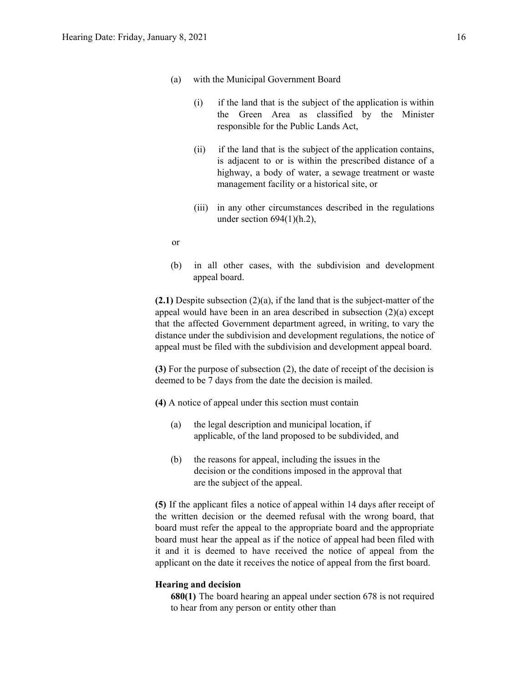- (a) with the Municipal Government Board
	- (i) if the land that is the subject of the application is within the Green Area as classified by the Minister responsible for the Public Lands Act,
	- (ii) if the land that is the subject of the application contains, is adjacent to or is within the prescribed distance of a highway, a body of water, a sewage treatment or waste management facility or a historical site, or
	- (iii) in any other circumstances described in the regulations under section  $694(1)(h.2)$ ,
- or
- (b) in all other cases, with the subdivision and development appeal board.

**(2.1)** Despite subsection (2)(a), if the land that is the subject-matter of the appeal would have been in an area described in subsection (2)(a) except that the affected Government department agreed, in writing, to vary the distance under the subdivision and development regulations, the notice of appeal must be filed with the subdivision and development appeal board.

**(3)** For the purpose of subsection (2), the date of receipt of the decision is deemed to be 7 days from the date the decision is mailed.

**(4)** A notice of appeal under this section must contain

- (a) the legal description and municipal location, if applicable, of the land proposed to be subdivided, and
- (b) the reasons for appeal, including the issues in the decision or the conditions imposed in the approval that are the subject of the appeal.

**(5)** If the applicant files a notice of appeal within 14 days after receipt of the written decision or the deemed refusal with the wrong board, that board must refer the appeal to the appropriate board and the appropriate board must hear the appeal as if the notice of appeal had been filed with it and it is deemed to have received the notice of appeal from the applicant on the date it receives the notice of appeal from the first board.

#### **Hearing and decision**

**680(1)** The board hearing an appeal under section 678 is not required to hear from any person or entity other than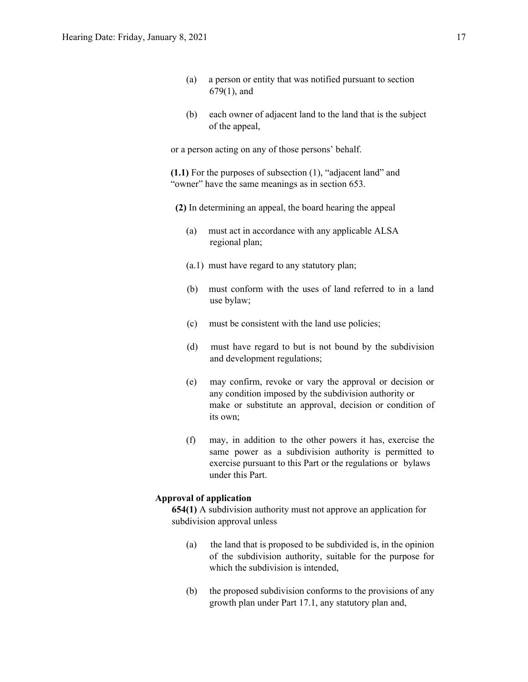- (a) a person or entity that was notified pursuant to section 679(1), and
- (b) each owner of adjacent land to the land that is the subject of the appeal,

or a person acting on any of those persons' behalf.

**(1.1)** For the purposes of subsection (1), "adjacent land" and "owner" have the same meanings as in section 653.

- **(2)** In determining an appeal, the board hearing the appeal
	- (a) must act in accordance with any applicable ALSA regional plan;
	- (a.1) must have regard to any statutory plan;
	- (b) must conform with the uses of land referred to in a land use bylaw;
	- (c) must be consistent with the land use policies;
	- (d) must have regard to but is not bound by the subdivision and development regulations;
	- (e) may confirm, revoke or vary the approval or decision or any condition imposed by the subdivision authority or make or substitute an approval, decision or condition of its own;
	- (f) may, in addition to the other powers it has, exercise the same power as a subdivision authority is permitted to exercise pursuant to this Part or the regulations or bylaws under this Part.

#### **Approval of application**

**654(1)** A subdivision authority must not approve an application for subdivision approval unless

- (a) the land that is proposed to be subdivided is, in the opinion of the subdivision authority, suitable for the purpose for which the subdivision is intended,
- (b) the proposed subdivision conforms to the provisions of any growth plan under Part 17.1, any statutory plan and,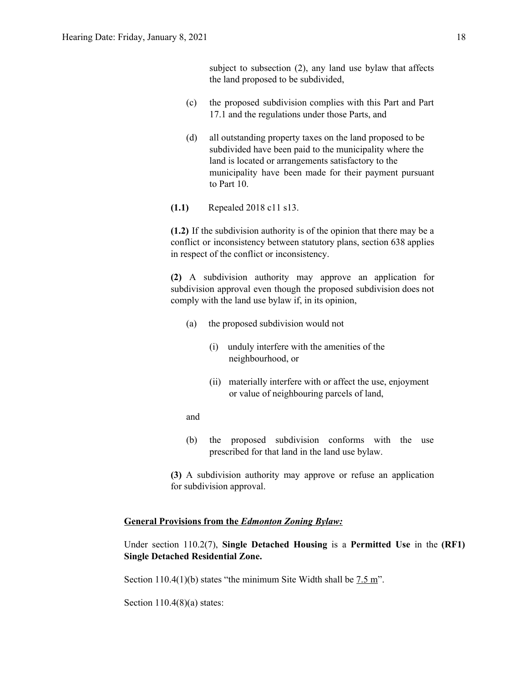subject to subsection (2), any land use bylaw that affects the land proposed to be subdivided,

- (c) the proposed subdivision complies with this Part and Part 17.1 and the regulations under those Parts, and
- (d) all outstanding property taxes on the land proposed to be subdivided have been paid to the municipality where the land is located or arrangements satisfactory to the municipality have been made for their payment pursuant to Part 10.
- **(1.1)** Repealed 2018 c11 s13.

**(1.2)** If the subdivision authority is of the opinion that there may be a conflict or inconsistency between statutory plans, section 638 applies in respect of the conflict or inconsistency.

**(2)** A subdivision authority may approve an application for subdivision approval even though the proposed subdivision does not comply with the land use bylaw if, in its opinion,

- (a) the proposed subdivision would not
	- (i) unduly interfere with the amenities of the neighbourhood, or
	- (ii) materially interfere with or affect the use, enjoyment or value of neighbouring parcels of land,
- and
- (b) the proposed subdivision conforms with the use prescribed for that land in the land use bylaw.
- **(3)** A subdivision authority may approve or refuse an application for subdivision approval.

#### **General Provisions from the** *Edmonton Zoning Bylaw:*

Under section 110.2(7), **Single Detached Housing** is a **Permitted Use** in the **(RF1) Single Detached Residential Zone.**

Section 110.4(1)(b) states "the minimum Site Width shall be 7.5 m".

Section  $110.4(8)(a)$  states: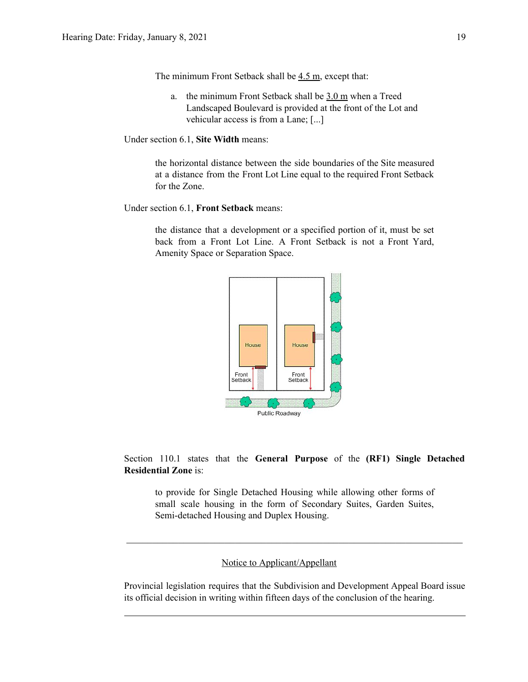The minimum Front Setback shall be 4.5 m, except that:

- a. the minimum Front Setback shall be 3.0 m when a Treed Landscaped Boulevard is provided at the front of the Lot and vehicular access is from a Lane; [...]
- Under section 6.1, **Site Width** means:

the horizontal distance between the side boundaries of the Site measured at a distance from the Front Lot Line equal to the required Front Setback for the Zone.

Under section 6.1, **Front Setback** means:

the distance that a development or a specified portion of it, must be set back from a Front Lot Line. A Front Setback is not a Front Yard, Amenity Space or Separation Space.



Section 110.1 states that the **General Purpose** of the **(RF1) Single Detached Residential Zone** is:

to provide for Single Detached Housing while allowing other forms of small scale housing in the form of Secondary Suites, Garden Suites, Semi-detached Housing and Duplex Housing.

 $\mathcal{L}_\text{max}$  , and the contribution of the contribution of the contribution of the contribution of the contribution of the contribution of the contribution of the contribution of the contribution of the contribution of t

#### Notice to Applicant/Appellant

Provincial legislation requires that the Subdivision and Development Appeal Board issue its official decision in writing within fifteen days of the conclusion of the hearing.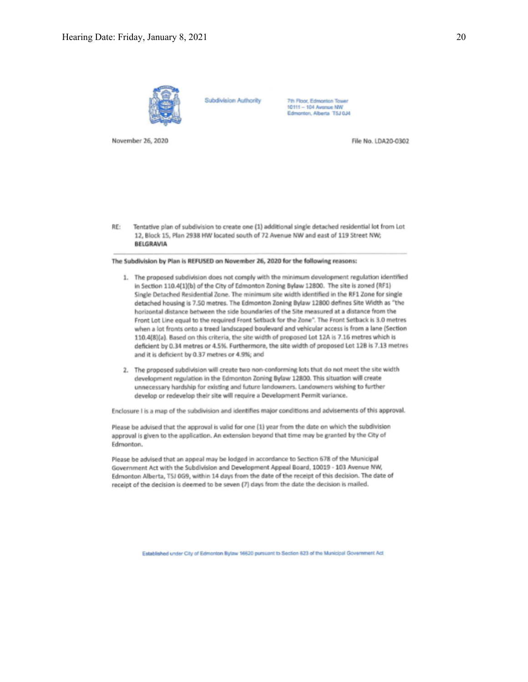

**Subdivision Authority** 

7th Roor, Edmonton Tower 10111 - 104 Avenue NW Edmonton, Alberta T5J 0J4

November 26, 2020

File No. LDA20-0302

RE: Tentative plan of subdivision to create one (1) additional single detached residential lot from Lot 12, Block 15, Plan 2938 HW located south of 72 Avenue NW and east of 119 Street NW; BELGRAVIA

The Subdivision by Plan is REFUSED on November 26, 2020 for the following reasons:

- 1. The proposed subdivision does not comply with the minimum development regulation identified in Section 110.4(1)(b) of the City of Edmonton Zoning Bylaw 12800. The site is zoned (RF1) Single Detached Residential Zone. The minimum site width identified in the RF1 Zone for single detached housing is 7.50 metres. The Edmonton Zoning Bylaw 12800 defines Site Width as "the horizontal distance between the side boundaries of the Site measured at a distance from the Front Lot Line equal to the required Front Setback for the Zone". The Front Setback is 3.0 metres when a lot fronts onto a treed landscaped boulevard and vehicular access is from a lane (Section 110.4(8)(a). Based on this criteria, the site width of proposed Lot 12A is 7.16 metres which is deficient by 0.34 metres or 4.5%. Furthermore, the site width of proposed Lot 12B is 7.13 metres and it is deficient by 0.37 metres or 4.9%; and
- 2. The proposed subdivision will create two non-conforming lots that do not meet the site width development regulation in the Edmonton Zoning Bylaw 12800. This situation will create unnecessary hardship for existing and future landowners. Landowners wishing to further develop or redevelop their site will require a Development Permit variance.

Enclosure I is a map of the subdivision and identifies major conditions and advisements of this approval.

Please be advised that the approval is valid for one (1) year from the date on which the subdivision approval is given to the application. An extension beyond that time may be granted by the City of Edmonton.

Please be advised that an appeal may be lodged in accordance to Section 678 of the Municipal Government Act with the Subdivision and Development Appeal Board, 10019 - 103 Avenue NW, Edmonton Alberta, T5J 0G9, within 14 days from the date of the receipt of this decision. The date of receipt of the decision is deemed to be seven (7) days from the date the decision is mailed.

Established under City of Edmonton Bylaw 16620 pursuant to Section 623 of the Municipal Government Act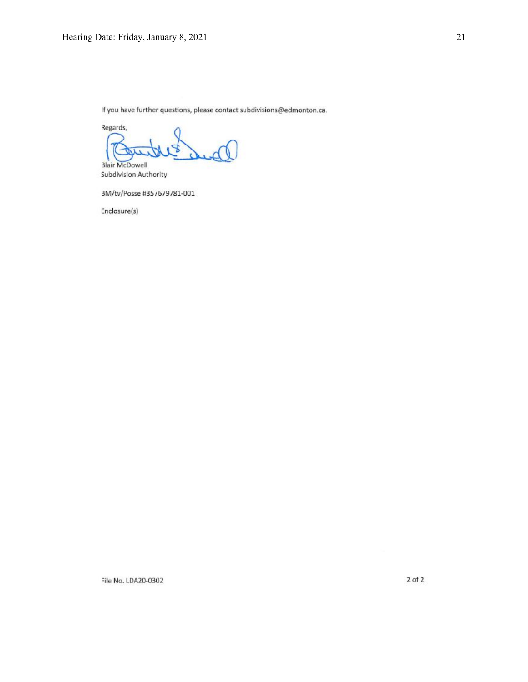If you have further questions, please contact subdivisions@edmonton.ca.

Regards, **Blair McDowell** 

Subdivision Authority

BM/tv/Posse #357679781-001

Enclosure(s)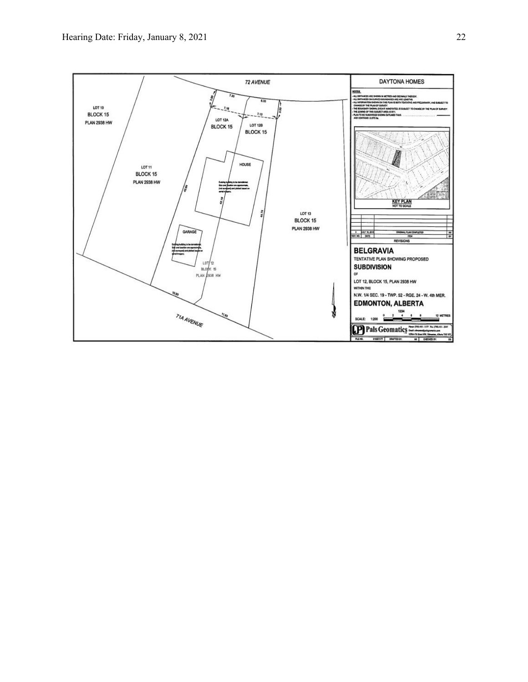